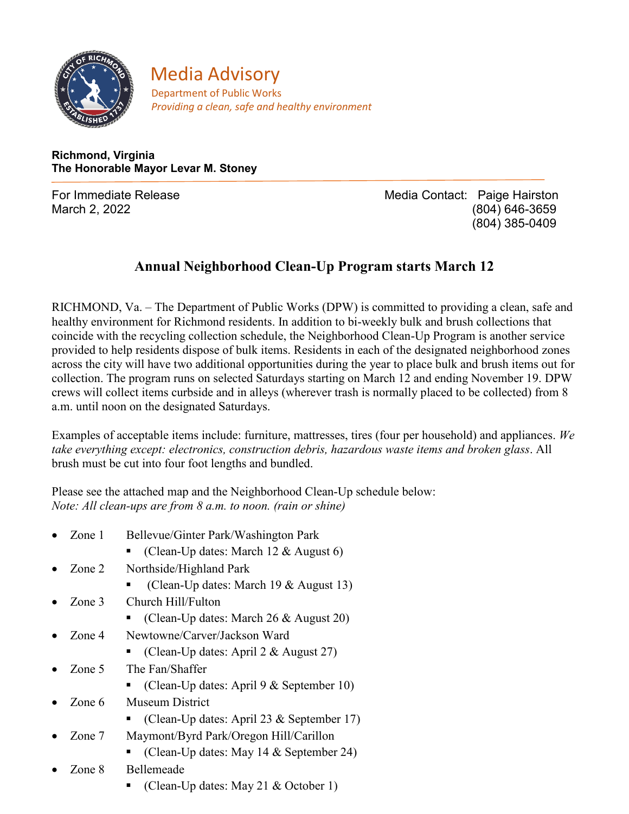

**Media Advisory**<br>**Department of Public Works** *Providing a clean, safe and healthy environment*

**Richmond, Virginia The Honorable Mayor Levar M. Stoney**

For Immediate Release **Media Contact: Paige Hairston** March 2, 2022 (804) 646-3659 (804) 385-0409

## **Annual Neighborhood Clean-Up Program starts March 12**

RICHMOND, Va. – The Department of Public Works (DPW) is committed to providing a clean, safe and healthy environment for Richmond residents. In addition to bi-weekly bulk and brush collections that coincide with the recycling collection schedule, the Neighborhood Clean-Up Program is another service provided to help residents dispose of bulk items. Residents in each of the designated neighborhood zones across the city will have two additional opportunities during the year to place bulk and brush items out for collection. The program runs on selected Saturdays starting on March 12 and ending November 19. DPW crews will collect items curbside and in alleys (wherever trash is normally placed to be collected) from 8 a.m. until noon on the designated Saturdays.

Examples of acceptable items include: furniture, mattresses, tires (four per household) and appliances. *We take everything except: electronics, construction debris, hazardous waste items and broken glass*. All brush must be cut into four foot lengths and bundled.

Please see the attached map and the Neighborhood Clean-Up schedule below: *Note: All clean-ups are from 8 a.m. to noon. (rain or shine)*

- Zone 1 Bellevue/Ginter Park/Washington Park
	- (Clean-Up dates: March 12 & August 6)
- Zone 2 Northside/Highland Park
	- (Clean-Up dates: March 19 & August 13)
- Zone 3 Church Hill/Fulton
	- Clean-Up dates: March 26 & August 20)
- Zone 4 Newtowne/Carver/Jackson Ward
	- (Clean-Up dates: April 2 & August 27)
- Zone 5 The Fan/Shaffer
	- (Clean-Up dates: April 9 & September 10)
- Zone 6 Museum District
	- (Clean-Up dates: April 23 & September 17)
- Zone 7 Maymont/Byrd Park/Oregon Hill/Carillon
	- Clean-Up dates: May 14 & September 24)
- Zone 8 Bellemeade
	- Clean-Up dates: May 21 & October 1)